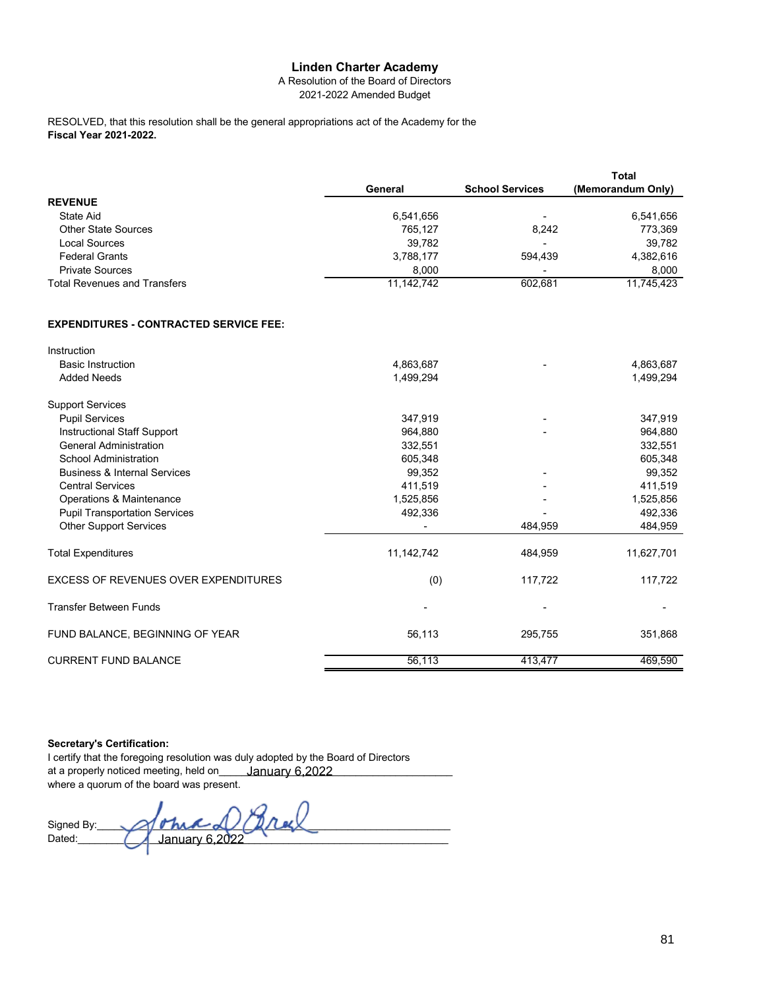## **Linden Charter Academy**

A Resolution of the Board of Directors 2021-2022 Amended Budget

**Fiscal Year 2021-2022.** RESOLVED, that this resolution shall be the general appropriations act of the Academy for the

|                                     |            |                          | <b>Total</b>      |
|-------------------------------------|------------|--------------------------|-------------------|
|                                     | General    | <b>School Services</b>   | (Memorandum Only) |
| <b>REVENUE</b>                      |            |                          |                   |
| State Aid                           | 6,541,656  | -                        | 6,541,656         |
| <b>Other State Sources</b>          | 765.127    | 8.242                    | 773,369           |
| Local Sources                       | 39.782     | $\overline{\phantom{a}}$ | 39.782            |
| <b>Federal Grants</b>               | 3,788,177  | 594.439                  | 4,382,616         |
| <b>Private Sources</b>              | 8.000      | $\overline{\phantom{a}}$ | 8.000             |
| <b>Total Revenues and Transfers</b> | 11,142,742 | 602,681                  | 11,745,423        |

## **EXPENDITURES - CONTRACTED SERVICE FEE:**

| Instruction                                 |            |         |            |
|---------------------------------------------|------------|---------|------------|
| <b>Basic Instruction</b>                    | 4,863,687  |         | 4,863,687  |
| <b>Added Needs</b>                          | 1,499,294  |         | 1,499,294  |
| <b>Support Services</b>                     |            |         |            |
| <b>Pupil Services</b>                       | 347,919    |         | 347,919    |
| Instructional Staff Support                 | 964,880    |         | 964,880    |
| <b>General Administration</b>               | 332,551    |         | 332,551    |
| School Administration                       | 605,348    |         | 605,348    |
| <b>Business &amp; Internal Services</b>     | 99,352     |         | 99,352     |
| <b>Central Services</b>                     | 411,519    |         | 411,519    |
| Operations & Maintenance                    | 1,525,856  |         | 1,525,856  |
| <b>Pupil Transportation Services</b>        | 492,336    |         | 492,336    |
| <b>Other Support Services</b>               |            | 484,959 | 484,959    |
| <b>Total Expenditures</b>                   | 11,142,742 | 484,959 | 11,627,701 |
| <b>EXCESS OF REVENUES OVER EXPENDITURES</b> | (0)        | 117,722 | 117,722    |
| <b>Transfer Between Funds</b>               |            |         |            |
| FUND BALANCE, BEGINNING OF YEAR             | 56,113     | 295,755 | 351,868    |
| <b>CURRENT FUND BALANCE</b>                 | 56,113     | 413,477 | 469,590    |

## **Secretary's Certification:**

I certify that the foregoing resolution was duly adopted by the Board of Directors at a properly noticed meeting, held on\_\_\_\_\_\_<u>January 6,2022\_\_\_\_\_\_\_\_\_\_\_\_\_\_\_\_\_\_\_\_\_</u> where a quorum of the board was present. January 6,2022

Signed By:\_\_\_\_\_\_\_\_\_\_\_\_\_\_\_\_\_\_\_\_\_\_\_\_\_\_\_\_\_\_\_\_\_\_\_\_\_\_\_\_\_\_\_\_\_\_\_\_\_\_\_\_\_\_\_\_\_\_\_\_\_\_ Dated:\_\_\_\_\_\_\_\_\_\_\_\_\_\_\_\_\_\_\_\_\_\_\_\_\_\_\_\_\_\_\_\_\_\_\_\_\_\_\_\_\_\_\_\_\_\_\_\_\_\_\_\_\_\_\_\_\_\_\_\_\_\_\_\_\_ January 6,2022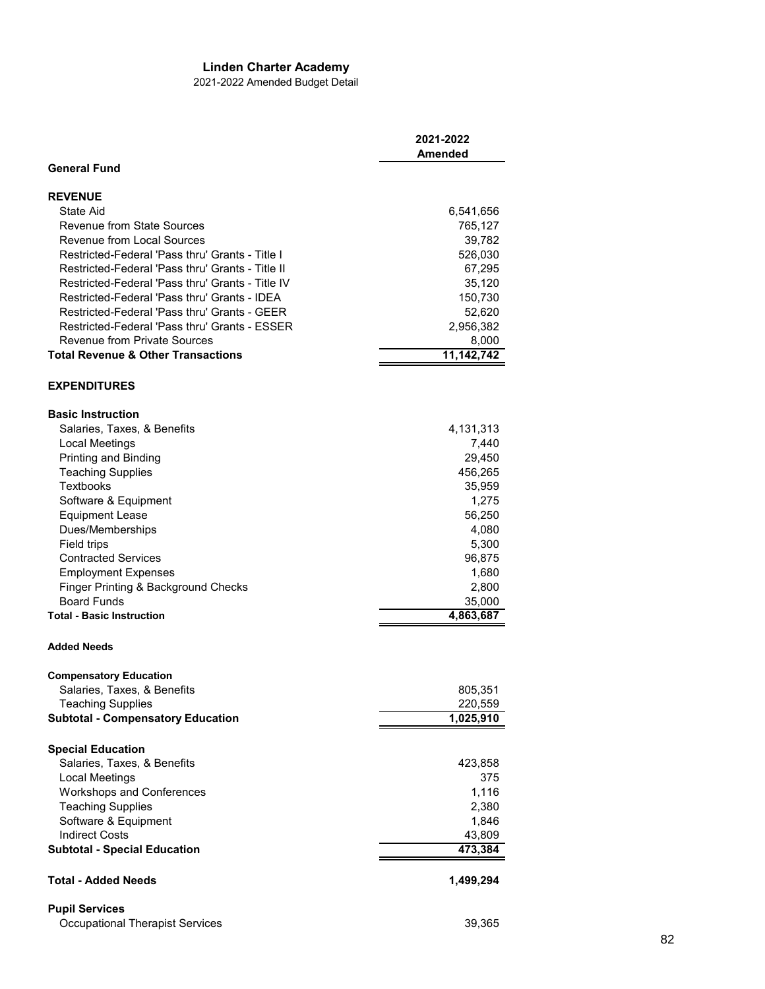## **Linden Charter Academy**

2021-2022 Amended Budget Detail

|                                                  | 2021-2022<br>Amended |
|--------------------------------------------------|----------------------|
| <b>General Fund</b>                              |                      |
| <b>REVENUE</b>                                   |                      |
| <b>State Aid</b>                                 | 6,541,656            |
| <b>Revenue from State Sources</b>                | 765,127              |
| Revenue from Local Sources                       | 39,782               |
| Restricted-Federal 'Pass thru' Grants - Title I  | 526,030              |
| Restricted-Federal 'Pass thru' Grants - Title II | 67,295               |
| Restricted-Federal 'Pass thru' Grants - Title IV | 35,120               |
| Restricted-Federal 'Pass thru' Grants - IDEA     | 150,730              |
| Restricted-Federal 'Pass thru' Grants - GEER     | 52,620               |
| Restricted-Federal 'Pass thru' Grants - ESSER    | 2,956,382            |
| <b>Revenue from Private Sources</b>              | 8,000                |
| <b>Total Revenue &amp; Other Transactions</b>    | 11,142,742           |
| <b>EXPENDITURES</b>                              |                      |
| <b>Basic Instruction</b>                         |                      |
| Salaries, Taxes, & Benefits                      | 4,131,313            |
| Local Meetings                                   | 7,440                |
| Printing and Binding                             | 29,450               |
| <b>Teaching Supplies</b>                         | 456,265              |
| Textbooks                                        | 35,959               |
| Software & Equipment                             | 1,275                |
| <b>Equipment Lease</b>                           | 56,250               |
| Dues/Memberships                                 | 4,080                |
| Field trips                                      | 5,300                |
| <b>Contracted Services</b>                       | 96,875               |
| <b>Employment Expenses</b>                       | 1,680                |
| Finger Printing & Background Checks              | 2,800                |
| <b>Board Funds</b>                               | 35,000               |
| <b>Total - Basic Instruction</b>                 | 4,863,687            |
| <b>Added Needs</b>                               |                      |
| <b>Compensatory Education</b>                    |                      |
| Salaries, Taxes, & Benefits                      | 805,351              |
| <b>Teaching Supplies</b>                         | 220,559              |
| <b>Subtotal - Compensatory Education</b>         | 1,025,910            |
| <b>Special Education</b>                         |                      |
| Salaries, Taxes, & Benefits                      | 423,858              |
| Local Meetings                                   | 375                  |
| <b>Workshops and Conferences</b>                 | 1,116                |
| <b>Teaching Supplies</b>                         | 2,380                |
| Software & Equipment                             | 1,846                |
| <b>Indirect Costs</b>                            | 43,809               |
| <b>Subtotal - Special Education</b>              | 473,384              |
| <b>Total - Added Needs</b>                       | 1,499,294            |
| <b>Pupil Services</b>                            |                      |
| <b>Occupational Therapist Services</b>           | 39,365               |
|                                                  |                      |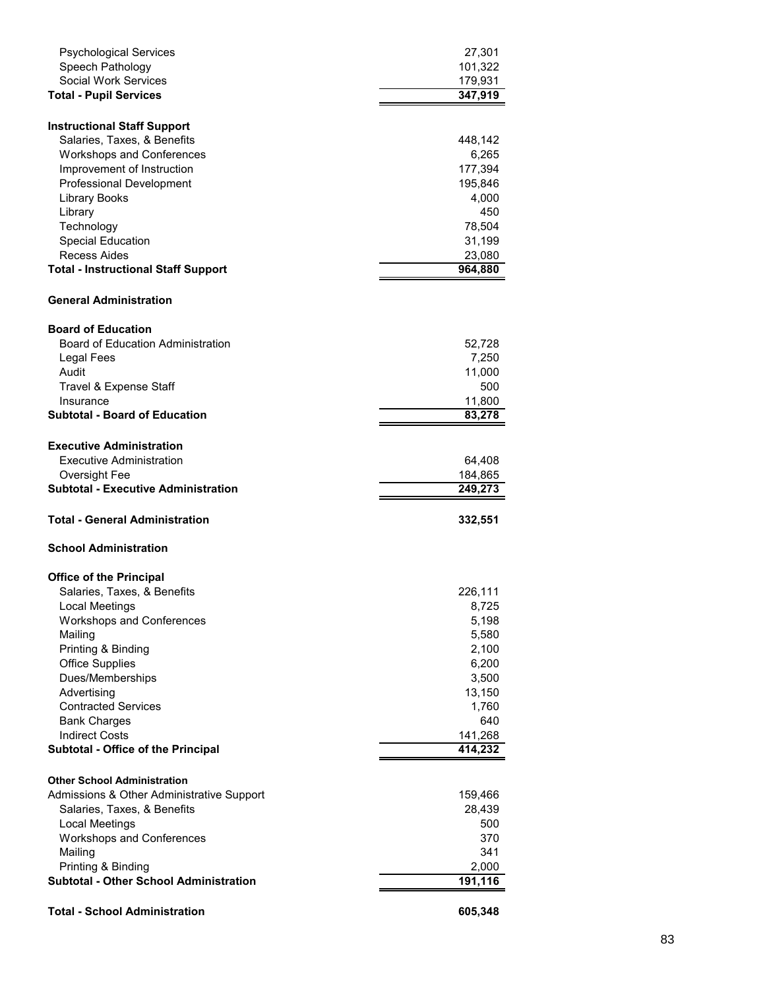| <b>Psychological Services</b>                                       | 27,301            |
|---------------------------------------------------------------------|-------------------|
| Speech Pathology                                                    | 101,322           |
| <b>Social Work Services</b>                                         | 179,931           |
| <b>Total - Pupil Services</b>                                       | 347,919           |
|                                                                     |                   |
| <b>Instructional Staff Support</b>                                  |                   |
| Salaries, Taxes, & Benefits                                         | 448,142           |
| <b>Workshops and Conferences</b>                                    | 6,265             |
| Improvement of Instruction                                          | 177,394           |
| <b>Professional Development</b>                                     | 195,846           |
| <b>Library Books</b>                                                | 4,000             |
| Library                                                             | 450               |
| Technology                                                          | 78,504            |
| <b>Special Education</b><br>Recess Aides                            | 31,199            |
| <b>Total - Instructional Staff Support</b>                          | 23,080<br>964,880 |
|                                                                     |                   |
| <b>General Administration</b>                                       |                   |
| <b>Board of Education</b>                                           |                   |
| <b>Board of Education Administration</b>                            | 52,728            |
| Legal Fees                                                          | 7,250             |
| Audit                                                               | 11,000            |
| Travel & Expense Staff                                              | 500               |
| Insurance                                                           | 11,800            |
| <b>Subtotal - Board of Education</b>                                | 83,278            |
| <b>Executive Administration</b>                                     |                   |
| Executive Administration                                            | 64,408            |
| Oversight Fee                                                       | 184,865           |
|                                                                     |                   |
| <b>Subtotal - Executive Administration</b>                          | 249,273           |
|                                                                     |                   |
| <b>Total - General Administration</b>                               | 332,551           |
| <b>School Administration</b>                                        |                   |
|                                                                     |                   |
| <b>Office of the Principal</b><br>Salaries, Taxes, & Benefits       | 226,111           |
| Local Meetings                                                      | 8,725             |
| <b>Workshops and Conferences</b>                                    | 5,198             |
| Mailing                                                             | 5,580             |
| Printing & Binding                                                  | 2,100             |
| <b>Office Supplies</b>                                              | 6,200             |
| Dues/Memberships                                                    | 3,500             |
| Advertising                                                         | 13,150            |
| <b>Contracted Services</b>                                          | 1,760             |
| <b>Bank Charges</b>                                                 | 640               |
| <b>Indirect Costs</b>                                               | 141,268           |
| Subtotal - Office of the Principal                                  | 414,232           |
|                                                                     |                   |
| <b>Other School Administration</b>                                  |                   |
| Admissions & Other Administrative Support                           | 159,466           |
| Salaries, Taxes, & Benefits<br>Local Meetings                       | 28,439<br>500     |
|                                                                     | 370               |
| <b>Workshops and Conferences</b>                                    | 341               |
| Mailing                                                             |                   |
| Printing & Binding<br><b>Subtotal - Other School Administration</b> | 2,000<br>191,116  |
| <b>Total - School Administration</b>                                | 605,348           |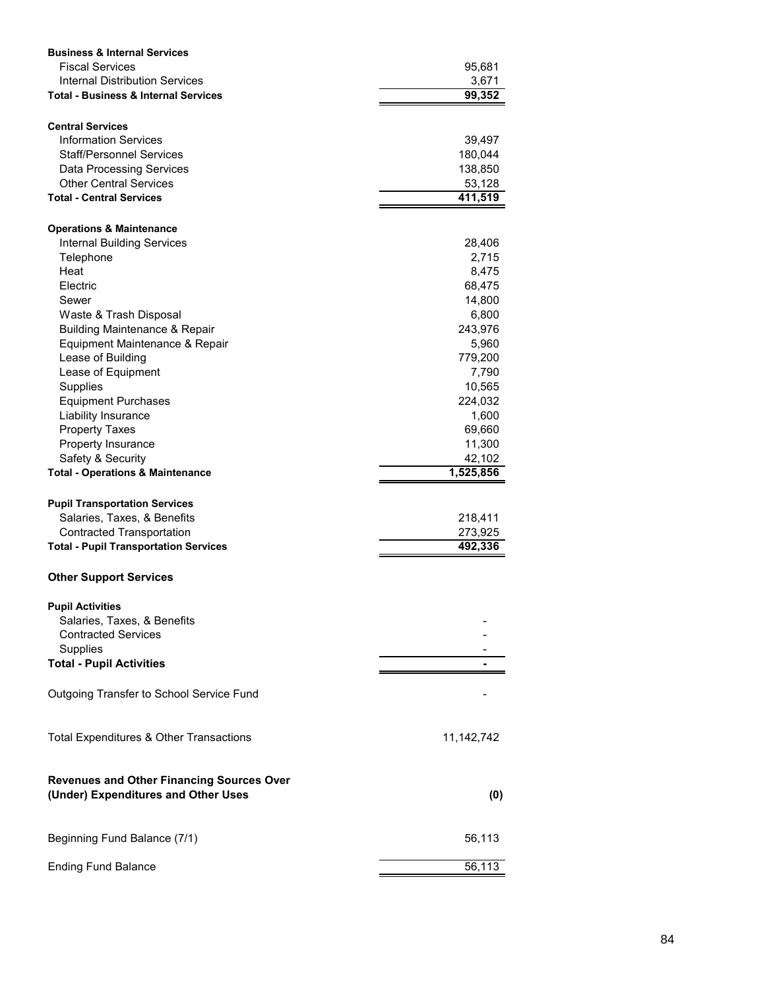| <b>Business &amp; Internal Services</b>                                                 |              |
|-----------------------------------------------------------------------------------------|--------------|
| <b>Fiscal Services</b>                                                                  | 95,681       |
| Internal Distribution Services                                                          | 3,671        |
| <b>Total - Business &amp; Internal Services</b>                                         | 99,352       |
| <b>Central Services</b>                                                                 |              |
| <b>Information Services</b>                                                             | 39,497       |
| <b>Staff/Personnel Services</b>                                                         | 180,044      |
| <b>Data Processing Services</b>                                                         | 138,850      |
| <b>Other Central Services</b>                                                           | 53,128       |
| <b>Total - Central Services</b>                                                         | 411,519      |
| <b>Operations &amp; Maintenance</b>                                                     |              |
| <b>Internal Building Services</b>                                                       | 28,406       |
| Telephone                                                                               | 2,715        |
| Heat                                                                                    | 8,475        |
| Electric                                                                                | 68,475       |
| Sewer                                                                                   | 14,800       |
| Waste & Trash Disposal                                                                  | 6,800        |
| <b>Building Maintenance &amp; Repair</b>                                                | 243,976      |
| Equipment Maintenance & Repair                                                          | 5,960        |
| Lease of Building                                                                       | 779,200      |
| Lease of Equipment                                                                      | 7,790        |
| Supplies                                                                                | 10,565       |
| <b>Equipment Purchases</b>                                                              | 224,032      |
| Liability Insurance                                                                     | 1,600        |
| <b>Property Taxes</b>                                                                   | 69,660       |
| Property Insurance                                                                      | 11,300       |
| Safety & Security                                                                       | 42,102       |
| <b>Total - Operations &amp; Maintenance</b>                                             | 1,525,856    |
| <b>Pupil Transportation Services</b>                                                    |              |
| Salaries, Taxes, & Benefits                                                             | 218,411      |
| <b>Contracted Transportation</b>                                                        | 273,925      |
| <b>Total - Pupil Transportation Services</b>                                            | 492,336      |
| <b>Other Support Services</b>                                                           |              |
| <b>Pupil Activities</b>                                                                 |              |
| Salaries, Taxes, & Benefits                                                             |              |
| <b>Contracted Services</b>                                                              |              |
| Supplies                                                                                |              |
| <b>Total - Pupil Activities</b>                                                         |              |
| Outgoing Transfer to School Service Fund                                                |              |
| Total Expenditures & Other Transactions                                                 | 11, 142, 742 |
| <b>Revenues and Other Financing Sources Over</b><br>(Under) Expenditures and Other Uses | (0)          |
|                                                                                         |              |
| Beginning Fund Balance (7/1)                                                            | 56,113       |
| <b>Ending Fund Balance</b>                                                              | 56,113       |